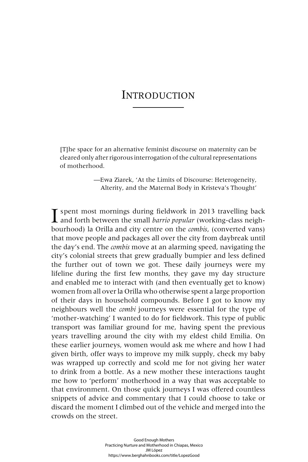## **INTRODUCTION**

[T]he space for an alternative feminist discourse on maternity can be cleared only after rigorous interrogation of the cultural representations of motherhood.

> —Ewa Ziarek, 'At the Limits of Discourse: Heterogeneity, Alterity, and the Maternal Body in Kristeva's Thought'

**I** spent most mornings during fieldwork in 2013 travelling back and forth between the small *barrio popular* (working-class neigh-<br>hauthood) le Qülle and situ sontre smalle qurilie (sontrented turns) bourhood) la Orilla and city centre on the *combis*, (converted vans) that move people and packages all over the city from daybreak until the day's end. The *combis* move at an alarming speed, navigating the city's colonial streets that grew gradually bumpier and less defined the further out of town we got. These daily journeys were my lifeline during the first few months, they gave my day structure and enabled me to interact with (and then eventually get to know) women from all over la Orilla who otherwise spent a large proportion of their days in household compounds. Before I got to know my neighbours well the *combi* journeys were essential for the type of 'mother-watching' I wanted to do for fieldwork. This type of public transport was familiar ground for me, having spent the previous years travelling around the city with my eldest child Emilia. On these earlier journeys, women would ask me where and how I had given birth, offer ways to improve my milk supply, check my baby was wrapped up correctly and scold me for not giving her water to drink from a bottle. As a new mother these interactions taught me how to 'perform' motherhood in a way that was acceptable to that environment. On those quick journeys I was offered countless snippets of advice and commentary that I could choose to take or discard the moment I climbed out of the vehicle and merged into the crowds on the street.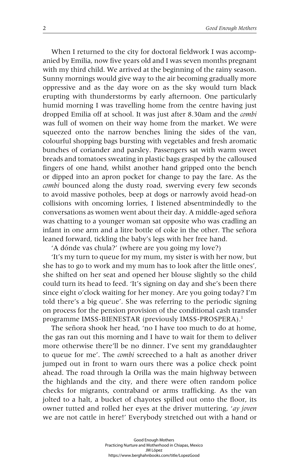When I returned to the city for doctoral fieldwork I was accompanied by Emilia, now five years old and I was seven months pregnant with my third child. We arrived at the beginning of the rainy season. Sunny mornings would give way to the air becoming gradually more oppressive and as the day wore on as the sky would turn black erupting with thunderstorms by early afternoon. One particularly humid morning I was travelling home from the centre having just dropped Emilia off at school. It was just after 8.30am and the *combi* was full of women on their way home from the market. We were squeezed onto the narrow benches lining the sides of the van, colourful shopping bags bursting with vegetables and fresh aromatic bunches of coriander and parsley. Passengers sat with warm sweet breads and tomatoes sweating in plastic bags grasped by the calloused fingers of one hand, whilst another hand gripped onto the bench or dipped into an apron pocket for change to pay the fare. As the *combi* bounced along the dusty road, swerving every few seconds to avoid massive potholes, beep at dogs or narrowly avoid head-on collisions with oncoming lorries, I listened absentmindedly to the conversations as women went about their day. A middle-aged señora was chatting to a younger woman sat opposite who was cradling an infant in one arm and a litre bottle of coke in the other. The señora leaned forward, tickling the baby's legs with her free hand.

'A dónde vas chula?' (where are you going my love?)

'It's my turn to queue for my mum, my sister is with her now, but she has to go to work and my mum has to look after the little ones', she shifted on her seat and opened her blouse slightly so the child could turn its head to feed. 'It's signing on day and she's been there since eight o'clock waiting for her money. Are you going today? I'm told there's a big queue'. She was referring to the periodic signing on process for the pension provision of the conditional cash transfer programme IMSS-BIENESTAR (previously IMSS-PROSPERA).<sup>1</sup>

The señora shook her head, 'no I have too much to do at home, the gas ran out this morning and I have to wait for them to deliver more otherwise there'll be no dinner. I've sent my granddaughter to queue for me'. The *combi* screeched to a halt as another driver jumped out in front to warn ours there was a police check point ahead. The road through la Orilla was the main highway between the highlands and the city, and there were often random police checks for migrants, contraband or arms trafficking. As the van jolted to a halt, a bucket of chayotes spilled out onto the floor, its owner tutted and rolled her eyes at the driver muttering, '*ay joven*  we are not cattle in here!' Everybody stretched out with a hand or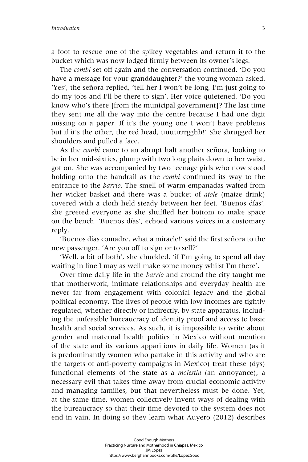a foot to rescue one of the spikey vegetables and return it to the bucket which was now lodged firmly between its owner's legs.

The *combi* set off again and the conversation continued. 'Do you have a message for your granddaughter?' the young woman asked. 'Yes', the señora replied, 'tell her I won't be long, I'm just going to do my jobs and I'll be there to sign'. Her voice quietened. 'Do you know who's there [from the municipal government]? The last time they sent me all the way into the centre because I had one digit missing on a paper. If it's the young one I won't have problems but if it's the other, the red head, uuuurrrgghh!' She shrugged her shoulders and pulled a face.

As the *combi* came to an abrupt halt another señora, looking to be in her mid-sixties, plump with two long plaits down to her waist, got on. She was accompanied by two teenage girls who now stood holding onto the handrail as the *combi* continued its way to the entrance to the *barrio*. The smell of warm empanadas wafted from her wicker basket and there was a bucket of *atole* (maize drink) covered with a cloth held steady between her feet. 'Buenos días', she greeted everyone as she shuffled her bottom to make space on the bench. 'Buenos días', echoed various voices in a customary reply.

'Buenos días comadre, what a miracle!' said the first señora to the new passenger. 'Are you off to sign or to sell?'

'Well, a bit of both', she chuckled, 'if I'm going to spend all day waiting in line I may as well make some money whilst I'm there'.

Over time daily life in the *barrio* and around the city taught me that motherwork, intimate relationships and everyday health are never far from engagement with colonial legacy and the global political economy. The lives of people with low incomes are tightly regulated, whether directly or indirectly, by state apparatus, including the unfeasible bureaucracy of identity proof and access to basic health and social services. As such, it is impossible to write about gender and maternal health politics in Mexico without mention of the state and its various apparitions in daily life. Women (as it is predominantly women who partake in this activity and who are the targets of anti-poverty campaigns in Mexico) treat these (dys) functional elements of the state as a *molestia* (an annoyance), a necessary evil that takes time away from crucial economic activity and managing families, but that nevertheless must be done. Yet, at the same time, women collectively invent ways of dealing with the bureaucracy so that their time devoted to the system does not end in vain. In doing so they learn what Auyero (2012) describes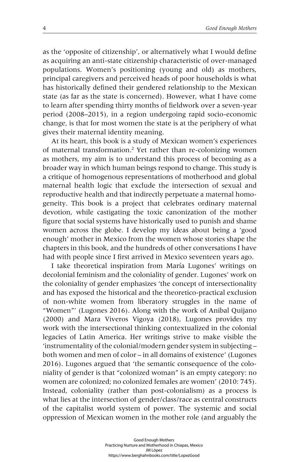as the 'opposite of citizenship', or alternatively what I would define as acquiring an anti-state citizenship characteristic of over-managed populations. Women's positioning (young and old) as mothers, principal caregivers and perceived heads of poor households is what has historically defined their gendered relationship to the Mexican state (as far as the state is concerned). However, what I have come to learn after spending thirty months of fieldwork over a seven-year period (2008–2015), in a region undergoing rapid socio-economic change, is that for most women the state is at the periphery of what gives their maternal identity meaning.

At its heart, this book is a study of Mexican women's experiences of maternal transformation.2 Yet rather than re-colonizing women as mothers, my aim is to understand this process of becoming as a broader way in which human beings respond to change. This study is a critique of homogenous representations of motherhood and global maternal health logic that exclude the intersection of sexual and reproductive health and that indirectly perpetuate a maternal homogeneity. This book is a project that celebrates ordinary maternal devotion, while castigating the toxic canonization of the mother figure that social systems have historically used to punish and shame women across the globe. I develop my ideas about being a 'good enough' mother in Mexico from the women whose stories shape the chapters in this book, and the hundreds of other conversations I have had with people since I first arrived in Mexico seventeen years ago.

I take theoretical inspiration from María Lugones' writings on decolonial feminism and the coloniality of gender. Lugones' work on the coloniality of gender emphasizes 'the concept of intersectionality and has exposed the historical and the theoretico-practical exclusion of non-white women from liberatory struggles in the name of "Women"' (Lugones 2016). Along with the work of Anibal Quijano (2000) and Mara Viveros Vigoya (2018), Lugones provides my work with the intersectional thinking contextualized in the colonial legacies of Latin America. Her writings strive to make visible the 'instrumentality of the colonial/modern gender system in subjecting – both women and men of color – in all domains of existence' (Lugones 2016). Lugones argued that 'the semantic consequence of the coloniality of gender is that "colonized woman" is an empty category: no women are colonized; no colonized females are women' (2010: 745). Instead, coloniality (rather than post-colonialism) as a process is what lies at the intersection of gender/class/race as central constructs of the capitalist world system of power. The systemic and social oppression of Mexican women in the mother role (and arguably the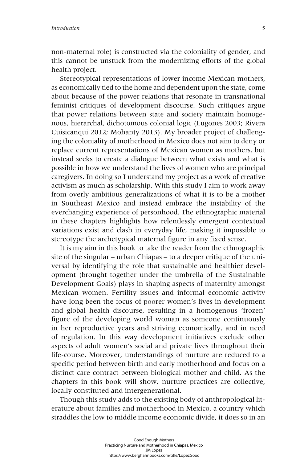non-maternal role) is constructed via the coloniality of gender, and this cannot be unstuck from the modernizing efforts of the global health project.

Stereotypical representations of lower income Mexican mothers, as economically tied to the home and dependent upon the state, come about because of the power relations that resonate in transnational feminist critiques of development discourse. Such critiques argue that power relations between state and society maintain homogenous, hierarchal, dichotomous colonial logic (Lugones 2003; Rivera Cuisicanqui 2012; Mohanty 2013). My broader project of challenging the coloniality of motherhood in Mexico does not aim to deny or replace current representations of Mexican women as mothers, but instead seeks to create a dialogue between what exists and what is possible in how we understand the lives of women who are principal caregivers. In doing so I understand my project as a work of creative activism as much as scholarship. With this study I aim to work away from overly ambitious generalizations of what it is to be a mother in Southeast Mexico and instead embrace the instability of the everchanging experience of personhood. The ethnographic material in these chapters highlights how relentlessly emergent contextual variations exist and clash in everyday life, making it impossible to stereotype the archetypical maternal figure in any fixed sense.

It is my aim in this book to take the reader from the ethnographic site of the singular – urban Chiapas – to a deeper critique of the universal by identifying the role that sustainable and healthier development (brought together under the umbrella of the Sustainable Development Goals) plays in shaping aspects of maternity amongst Mexican women. Fertility issues and informal economic activity have long been the focus of poorer women's lives in development and global health discourse, resulting in a homogenous 'frozen' figure of the developing world woman as someone continuously in her reproductive years and striving economically, and in need of regulation. In this way development initiatives exclude other aspects of adult women's social and private lives throughout their life-course. Moreover, understandings of nurture are reduced to a specific period between birth and early motherhood and focus on a distinct care contract between biological mother and child. As the chapters in this book will show, nurture practices are collective, locally constituted and intergenerational.

Though this study adds to the existing body of anthropological literature about families and motherhood in Mexico, a country which straddles the low to middle income economic divide, it does so in an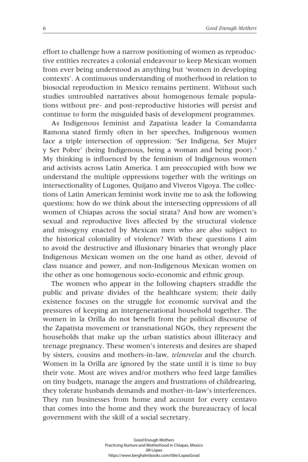effort to challenge how a narrow positioning of women as reproductive entities recreates a colonial endeavour to keep Mexican women from ever being understood as anything but 'women in developing contexts'. A continuous understanding of motherhood in relation to biosocial reproduction in Mexico remains pertinent. Without such studies untroubled narratives about homogenous female populations without pre- and post-reproductive histories will persist and continue to form the misguided basis of development programmes.

As Indigenous feminist and Zapatista leader la Comandanta Ramona stated firmly often in her speeches, Indigenous women face a triple intersection of oppression: 'Ser Indigena, Ser Mujer y Ser Pobre' (being Indigenous, being a woman and being poor).3 My thinking is influenced by the feminism of Indigenous women and activists across Latin America. I am preoccupied with how we understand the multiple oppressions together with the writings on intersectionality of Lugones, Quijano and Viveros Vigoya. The collections of Latin American feminist work invite me to ask the following questions: how do we think about the intersecting oppressions of all women of Chiapas across the social strata? And how are women's sexual and reproductive lives affected by the structural violence and misogyny enacted by Mexican men who are also subject to the historical coloniality of violence? With these questions I aim to avoid the destructive and illusionary binaries that wrongly place Indigenous Mexican women on the one hand as other, devoid of class nuance and power, and non-Indigenous Mexican women on the other as one homogenous socio-economic and ethnic group.

The women who appear in the following chapters straddle the public and private divides of the healthcare system; their daily existence focuses on the struggle for economic survival and the pressures of keeping an intergenerational household together. The women in la Orilla do not benefit from the political discourse of the Zapatista movement or transnational NGOs, they represent the households that make up the urban statistics about illiteracy and teenage pregnancy. These women's interests and desires are shaped by sisters, cousins and mothers-in-law, *telenovelas* and the church. Women in la Orilla are ignored by the state until it is time to buy their vote. Most are wives and/or mothers who feed large families on tiny budgets, manage the angers and frustrations of childrearing, they tolerate husbands demands and mother-in-law's interferences. They run businesses from home and account for every centavo that comes into the home and they work the bureaucracy of local government with the skill of a social secretary.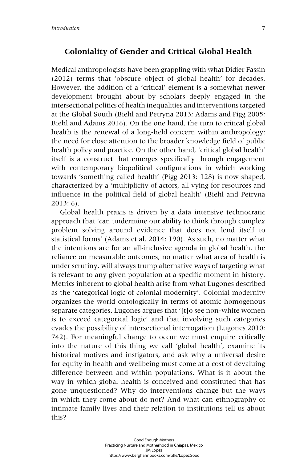## **Coloniality of Gender and Critical Global Health**

Medical anthropologists have been grappling with what Didier Fassin (2012) terms that 'obscure object of global health' for decades. However, the addition of a 'critical' element is a somewhat newer development brought about by scholars deeply engaged in the intersectional politics of health inequalities and interventions targeted at the Global South (Biehl and Petryna 2013; Adams and Pigg 2005; Biehl and Adams 2016). On the one hand, the turn to critical global health is the renewal of a long-held concern within anthropology: the need for close attention to the broader knowledge field of public health policy and practice. On the other hand, 'critical global health' itself is a construct that emerges specifically through engagement with contemporary biopolitical configurations in which working towards 'something called health' (Pigg 2013: 128) is now shaped, characterized by a 'multiplicity of actors, all vying for resources and influence in the political field of global health' (Biehl and Petryna 2013: 6).

Global health praxis is driven by a data intensive technocratic approach that 'can undermine our ability to think through complex problem solving around evidence that does not lend itself to statistical forms' (Adams et al. 2014: 190). As such, no matter what the intentions are for an all-inclusive agenda in global health, the reliance on measurable outcomes, no matter what area of health is under scrutiny, will always trump alternative ways of targeting what is relevant to any given population at a specific moment in history. Metrics inherent to global health arise from what Lugones described as the 'categorical logic of colonial modernity'. Colonial modernity organizes the world ontologically in terms of atomic homogenous separate categories. Lugones argues that '[t]o see non-white women is to exceed categorical logic' and that involving such categories evades the possibility of intersectional interrogation (Lugones 2010: 742). For meaningful change to occur we must enquire critically into the nature of this thing we call 'global health', examine its historical motives and instigators, and ask why a universal desire for equity in health and wellbeing must come at a cost of devaluing difference between and within populations. What is it about the way in which global health is conceived and constituted that has gone unquestioned? Why do interventions change but the ways in which they come about do not? And what can ethnography of intimate family lives and their relation to institutions tell us about this?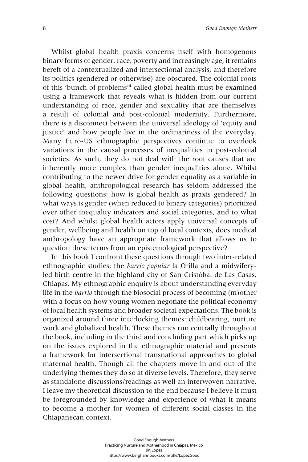Whilst global health praxis concerns itself with homogenous binary forms of gender, race, poverty and increasingly age, it remains bereft of a contextualized and intersectional analysis, and therefore its politics (gendered or otherwise) are obscured. The colonial roots of this 'bunch of problems'4 called global health must be examined using a framework that reveals what is hidden from our current understanding of race, gender and sexuality that are themselves a result of colonial and post-colonial modernity. Furthermore, there is a disconnect between the universal ideology of 'equity and justice' and how people live in the ordinariness of the everyday. Many Euro-US ethnographic perspectives continue to overlook variations in the causal processes of inequalities in post-colonial societies. As such, they do not deal with the root causes that are inherently more complex than gender inequalities alone. Whilst contributing to the newer drive for gender equality as a variable in global health, anthropological research has seldom addressed the following questions: how is global health as praxis gendered? In what ways is gender (when reduced to binary categories) prioritized over other inequality indicators and social categories, and to what cost? And whilst global health actors apply universal concepts of gender, wellbeing and health on top of local contexts, does medical anthropology have an appropriate framework that allows us to question these terms from an epistemological perspective?

In this book I confront these questions through two inter-related ethnographic studies: the *barrio popular* la Orilla and a midwiferyled birth centre in the highland city of San Cristóbal de Las Casas, Chiapas. My ethnographic enquiry is about understanding everyday life in the *barrio* through the biosocial process of becoming (m)other with a focus on how young women negotiate the political economy of local health systems and broader societal expectations. The book is organized around three interlocking themes: childbearing, nurture work and globalized health. These themes run centrally throughout the book, including in the third and concluding part which picks up on the issues explored in the ethnographic material and presents a framework for intersectional transnational approaches to global maternal health. Though all the chapters move in and out of the underlying themes they do so at diverse levels. Therefore, they serve as standalone discussions/readings as well an interwoven narrative. I leave my theoretical discussion to the end because I believe it must be foregrounded by knowledge and experience of what it means to become a mother for women of different social classes in the Chiapanecan context.